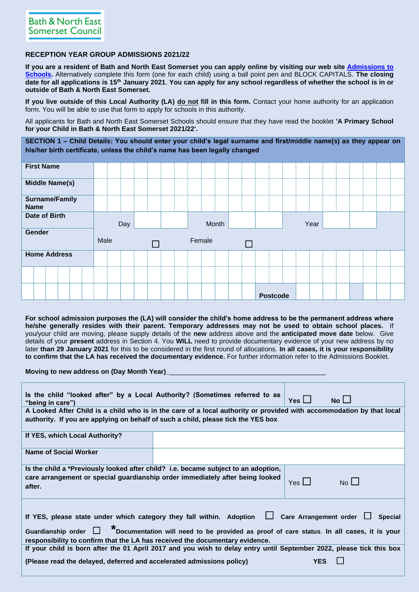## **RECEPTION YEAR GROUP ADMISSIONS 2021/22**

**If you are a resident of Bath and North East Somerset you can apply online by visiting our web site [Admissions to](https://beta.bathnes.gov.uk/school-admissions)  [Schools.](https://beta.bathnes.gov.uk/school-admissions)** Alternatively complete this form (one for each child) using a ball point pen and BLOCK CAPITALS. **The closing date for all applications is 15th January 2021**. **You can apply for any school regardless of whether the school is in or outside of Bath & North East Somerset.**

**If you live outside of this Local Authority (LA) do not fill in this form.** Contact your home authority for an application form. You will be able to use that form to apply for schools in this authority.

All applicants for Bath and North East Somerset Schools should ensure that they have read the booklet **'A Primary School for your Child in Bath & North East Somerset 2021/22'.** 

**SECTION 1 – Child Details: You should enter your child's legal surname and first/middle name(s) as they appear on his/her birth certificate, unless the child's name has been legally changed**

| <b>First Name</b>             |      |                  |      |  |
|-------------------------------|------|------------------|------|--|
| <b>Middle Name(s)</b>         |      |                  |      |  |
| Surname/Family<br><b>Name</b> |      |                  |      |  |
| Date of Birth                 | Day  | Month            | Year |  |
| Gender                        | Male | Female<br>$\Box$ |      |  |
| <b>Home Address</b>           |      |                  |      |  |
|                               |      |                  |      |  |
|                               |      |                  |      |  |

**For school admission purposes the (LA) will consider the child's home address to be the permanent address where he/she generally resides with their parent. Temporary addresses may not be used to obtain school places.** If you/your child are moving, please supply details of the **new** address above and the **anticipated move date** below. Give details of your **present** address in Section 4. You **WILL** need to provide documentary evidence of your new address by no later **than 29 January 2021** for this to be considered in the first round of allocations. **In all cases, it is your responsibility to confirm that the LA has received the documentary evidence.** For further information refer to the Admissions Booklet.

**Moving to new address on (Day Month Year)** 

| Is the child "looked after" by a Local Authority? (Sometimes referred to as<br>"being in care")                                                                                                                                                                                                                                     | Yes $\mathsf{\mathsf{L}}$ | No L        |  |  |  |  |  |  |
|-------------------------------------------------------------------------------------------------------------------------------------------------------------------------------------------------------------------------------------------------------------------------------------------------------------------------------------|---------------------------|-------------|--|--|--|--|--|--|
| A Looked After Child is a child who is in the care of a local authority or provided with accommodation by that local                                                                                                                                                                                                                |                           |             |  |  |  |  |  |  |
| authority. If you are applying on behalf of such a child, please tick the YES box                                                                                                                                                                                                                                                   |                           |             |  |  |  |  |  |  |
| If YES, which Local Authority?                                                                                                                                                                                                                                                                                                      |                           |             |  |  |  |  |  |  |
| Name of Social Worker                                                                                                                                                                                                                                                                                                               |                           |             |  |  |  |  |  |  |
| Is the child a *Previously looked after child? i.e. became subject to an adoption,                                                                                                                                                                                                                                                  |                           |             |  |  |  |  |  |  |
| care arrangement or special guardianship order immediately after being looked<br>after.                                                                                                                                                                                                                                             | Yes $\Box$                | $No$ $\Box$ |  |  |  |  |  |  |
| If YES, please state under which category they fall within. Adoption $\Box$ Care Arrangement order $\Box$<br><b>Special</b><br>Guardianship order $\Box$ * Documentation will need to be provided as proof of care status. In all cases, it is your<br>responsibility to confirm that the LA has received the documentary evidence. |                           |             |  |  |  |  |  |  |
| If your child is born after the 01 April 2017 and you wish to delay entry until September 2022, please tick this box                                                                                                                                                                                                                |                           |             |  |  |  |  |  |  |
| (Please read the delayed, deferred and accelerated admissions policy)                                                                                                                                                                                                                                                               | <b>YES</b>                |             |  |  |  |  |  |  |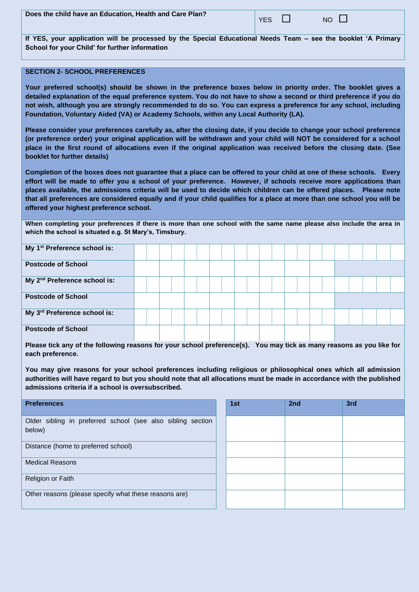**If YES, your application will be processed by the Special Educational Needs Team – see the booklet 'A Primary School for your Child' for further information**

## **SECTION 2- SCHOOL PREFERENCES**

**Your preferred school(s) should be shown in the preference boxes below in priority order. The booklet gives a detailed explanation of the equal preference system. You do not have to show a second or third preference if you do not wish, although you are strongly recommended to do so. You can express a preference for any school, including Foundation, Voluntary Aided (VA) or Academy Schools, within any Local Authority (LA).** 

**Please consider your preferences carefully as, after the closing date, if you decide to change your school preference (or preference order) your original application will be withdrawn and your child will NOT be considered for a school place in the first round of allocations even if the original application was received before the closing date. (See booklet for further details)**

**Completion of the boxes does not guarantee that a place can be offered to your child at one of these schools. Every effort will be made to offer you a school of your preference. However, if schools receive more applications than places available, the admissions criteria will be used to decide which children can be offered places. Please note that all preferences are considered equally and if your child qualifies for a place at more than one school you will be offered your highest preference school.**

**When completing your preferences if there is more than one school with the same name please also include the area in which the school is situated e.g. St Mary's, Timsbury.**

| My 1 <sup>st</sup> Preference school is: |  |  |  |  |  |  |
|------------------------------------------|--|--|--|--|--|--|
| <b>Postcode of School</b>                |  |  |  |  |  |  |
| My 2 <sup>nd</sup> Preference school is: |  |  |  |  |  |  |
| <b>Postcode of School</b>                |  |  |  |  |  |  |
| My 3rd Preference school is:             |  |  |  |  |  |  |
| <b>Postcode of School</b>                |  |  |  |  |  |  |

**Please tick any of the following reasons for your school preference(s). You may tick as many reasons as you like for each preference.**

**You may give reasons for your school preferences including religious or philosophical ones which all admission authorities will have regard to but you should note that all allocations must be made in accordance with the published admissions criteria if a school is oversubscribed.**

| <b>Preferences</b>                                                    | 1st | 2nd | 3rd |
|-----------------------------------------------------------------------|-----|-----|-----|
| Older sibling in preferred school (see also sibling section<br>below) |     |     |     |
| Distance (home to preferred school)                                   |     |     |     |
| <b>Medical Reasons</b>                                                |     |     |     |
| Religion or Faith                                                     |     |     |     |
| Other reasons (please specify what these reasons are)                 |     |     |     |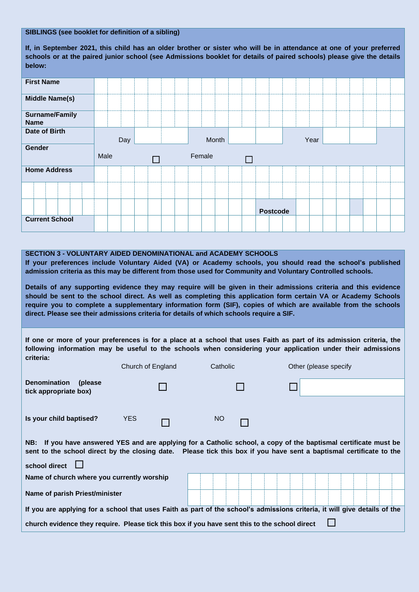## **SIBLINGS (see booklet for definition of a sibling)**

**If, in September 2021, this child has an older brother or sister who will be in attendance at one of your preferred schools or at the paired junior school (see Admissions booklet for details of paired schools) please give the details below:**

| <b>First Name</b>                    |      |        |        |                 |
|--------------------------------------|------|--------|--------|-----------------|
|                                      |      |        |        |                 |
| <b>Middle Name(s)</b>                |      |        |        |                 |
| <b>Surname/Family</b><br><b>Name</b> |      |        |        |                 |
| <b>Date of Birth</b>                 | Day  |        | Month  | Year            |
| Gender                               |      |        |        |                 |
|                                      |      |        |        |                 |
|                                      | Male | $\Box$ | Female | $\Box$          |
| <b>Home Address</b>                  |      |        |        |                 |
|                                      |      |        |        |                 |
| <b>Current School</b>                |      |        |        | <b>Postcode</b> |

## **SECTION 3 - VOLUNTARY AIDED DENOMINATIONAL and ACADEMY SCHOOLS**

**If your preferences include Voluntary Aided (VA) or Academy schools, you should read the school's published admission criteria as this may be different from those used for Community and Voluntary Controlled schools.**

**Details of any supporting evidence they may require will be given in their admissions criteria and this evidence should be sent to the school direct. As well as completing this application form certain VA or Academy Schools require you to complete a supplementary information form (SIF), copies of which are available from the schools direct. Please see their admissions criteria for details of which schools require a SIF.** 

**If one or more of your preferences is for a place at a school that uses Faith as part of its admission criteria, the following information may be useful to the schools when considering your application under their admissions criteria:**

|                                                                                                                                                                                                                                                          | Church of England | Catholic | Other (please specify                                                                                                     |  |  |  |  |  |  |  |
|----------------------------------------------------------------------------------------------------------------------------------------------------------------------------------------------------------------------------------------------------------|-------------------|----------|---------------------------------------------------------------------------------------------------------------------------|--|--|--|--|--|--|--|
| <b>Denomination</b><br>(please)<br>tick appropriate box)                                                                                                                                                                                                 |                   |          |                                                                                                                           |  |  |  |  |  |  |  |
|                                                                                                                                                                                                                                                          |                   |          |                                                                                                                           |  |  |  |  |  |  |  |
| Is your child baptised?                                                                                                                                                                                                                                  | <b>YES</b>        | NO       |                                                                                                                           |  |  |  |  |  |  |  |
| NB: If you have answered YES and are applying for a Catholic school, a copy of the baptismal certificate must be<br>sent to the school direct by the closing date. Please tick this box if you have sent a baptismal certificate to the<br>school direct |                   |          |                                                                                                                           |  |  |  |  |  |  |  |
| Name of church where you currently worship                                                                                                                                                                                                               |                   |          |                                                                                                                           |  |  |  |  |  |  |  |
| Name of parish Priest/minister                                                                                                                                                                                                                           |                   |          |                                                                                                                           |  |  |  |  |  |  |  |
|                                                                                                                                                                                                                                                          |                   |          | If you are applying for a school that uses Faith as part of the school's admissions criteria, it will give details of the |  |  |  |  |  |  |  |
| church evidence they require. Please tick this box if you have sent this to the school direct                                                                                                                                                            |                   |          |                                                                                                                           |  |  |  |  |  |  |  |